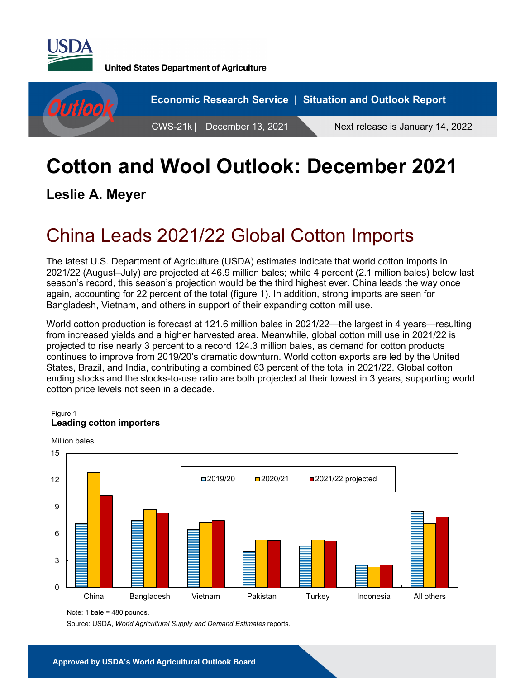

**United States Department of Agriculture** 



# **Cotton and Wool Outlook: December 2021**

**Leslie A. Meyer** 

# China Leads 2021/22 Global Cotton Imports

The latest U.S. Department of Agriculture (USDA) estimates indicate that world cotton imports in 2021/22 (August–July) are projected at 46.9 million bales; while 4 percent (2.1 million bales) below last season's record, this season's projection would be the third highest ever. China leads the way once again, accounting for 22 percent of the total (figure 1). In addition, strong imports are seen for Bangladesh, Vietnam, and others in support of their expanding cotton mill use.

World cotton production is forecast at 121.6 million bales in 2021/22—the largest in 4 years—resulting from increased yields and a higher harvested area. Meanwhile, global cotton mill use in 2021/22 is projected to rise nearly 3 percent to a record 124.3 million bales, as demand for cotton products continues to improve from 2019/20's dramatic downturn. World cotton exports are led by the United States, Brazil, and India, contributing a combined 63 percent of the total in 2021/22. Global cotton ending stocks and the stocks-to-use ratio are both projected at their lowest in 3 years, supporting world cotton price levels not seen in a decade.

#### Figure 1 **Leading cotton importers**



Note: 1 bale = 480 pounds.

Source: USDA, *World Agricultural Supply and Demand Estimates* reports.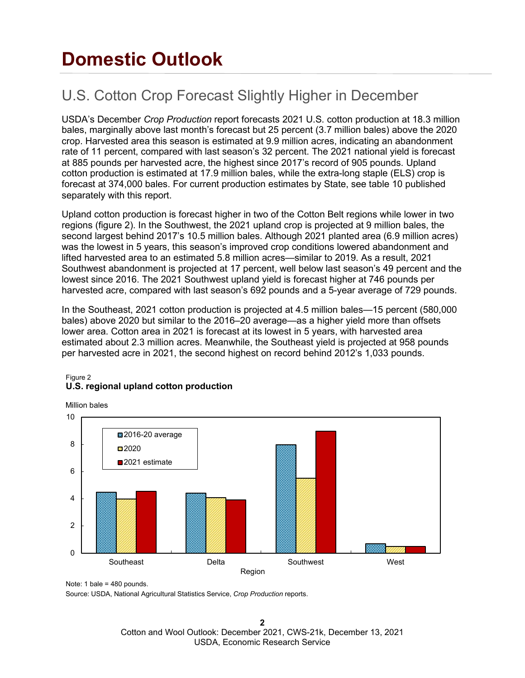# **Domestic Outlook**

## U.S. Cotton Crop Forecast Slightly Higher in December

USDA's December *Crop Production* report forecasts 2021 U.S. cotton production at 18.3 million bales, marginally above last month's forecast but 25 percent (3.7 million bales) above the 2020 crop. Harvested area this season is estimated at 9.9 million acres, indicating an abandonment rate of 11 percent, compared with last season's 32 percent. The 2021 national yield is forecast at 885 pounds per harvested acre, the highest since 2017's record of 905 pounds. Upland cotton production is estimated at 17.9 million bales, while the extra-long staple (ELS) crop is forecast at 374,000 bales. For current production estimates by State, see table 10 published separately with this report.

Upland cotton production is forecast higher in two of the Cotton Belt regions while lower in two regions (figure 2). In the Southwest, the 2021 upland crop is projected at 9 million bales, the second largest behind 2017's 10.5 million bales. Although 2021 planted area (6.9 million acres) was the lowest in 5 years, this season's improved crop conditions lowered abandonment and lifted harvested area to an estimated 5.8 million acres—similar to 2019. As a result, 2021 Southwest abandonment is projected at 17 percent, well below last season's 49 percent and the lowest since 2016. The 2021 Southwest upland yield is forecast higher at 746 pounds per harvested acre, compared with last season's 692 pounds and a 5-year average of 729 pounds.

In the Southeast, 2021 cotton production is projected at 4.5 million bales—15 percent (580,000 bales) above 2020 but similar to the 2016–20 average—as a higher yield more than offsets lower area. Cotton area in 2021 is forecast at its lowest in 5 years, with harvested area estimated about 2.3 million acres. Meanwhile, the Southeast yield is projected at 958 pounds per harvested acre in 2021, the second highest on record behind 2012's 1,033 pounds.

#### Figure 2 **U.S. regional upland cotton production**

Million bales



Note: 1 bale = 480 pounds.

Source: USDA, National Agricultural Statistics Service, *Crop Production* reports.

**2** Cotton and Wool Outlook: December 2021, CWS-21k, December 13, 2021 USDA, Economic Research Service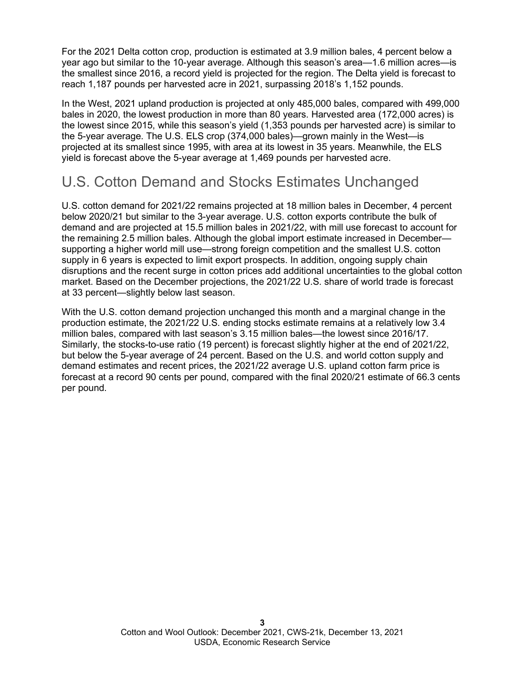For the 2021 Delta cotton crop, production is estimated at 3.9 million bales, 4 percent below a year ago but similar to the 10-year average. Although this season's area—1.6 million acres—is the smallest since 2016, a record yield is projected for the region. The Delta yield is forecast to reach 1,187 pounds per harvested acre in 2021, surpassing 2018's 1,152 pounds.

In the West, 2021 upland production is projected at only 485,000 bales, compared with 499,000 bales in 2020, the lowest production in more than 80 years. Harvested area (172,000 acres) is the lowest since 2015, while this season's yield (1,353 pounds per harvested acre) is similar to the 5-year average. The U.S. ELS crop (374,000 bales)—grown mainly in the West—is projected at its smallest since 1995, with area at its lowest in 35 years. Meanwhile, the ELS yield is forecast above the 5-year average at 1,469 pounds per harvested acre.

### U.S. Cotton Demand and Stocks Estimates Unchanged

U.S. cotton demand for 2021/22 remains projected at 18 million bales in December, 4 percent below 2020/21 but similar to the 3-year average. U.S. cotton exports contribute the bulk of demand and are projected at 15.5 million bales in 2021/22, with mill use forecast to account for the remaining 2.5 million bales. Although the global import estimate increased in December supporting a higher world mill use—strong foreign competition and the smallest U.S. cotton supply in 6 years is expected to limit export prospects. In addition, ongoing supply chain disruptions and the recent surge in cotton prices add additional uncertainties to the global cotton market. Based on the December projections, the 2021/22 U.S. share of world trade is forecast at 33 percent—slightly below last season.

With the U.S. cotton demand projection unchanged this month and a marginal change in the production estimate, the 2021/22 U.S. ending stocks estimate remains at a relatively low 3.4 million bales, compared with last season's 3.15 million bales—the lowest since 2016/17. Similarly, the stocks-to-use ratio (19 percent) is forecast slightly higher at the end of 2021/22, but below the 5-year average of 24 percent. Based on the U.S. and world cotton supply and demand estimates and recent prices, the 2021/22 average U.S. upland cotton farm price is forecast at a record 90 cents per pound, compared with the final 2020/21 estimate of 66.3 cents per pound.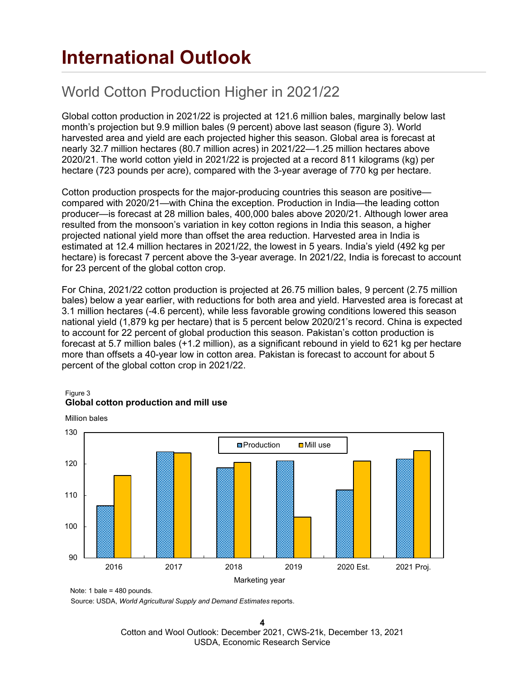# **International Outlook**

## World Cotton Production Higher in 2021/22

Global cotton production in 2021/22 is projected at 121.6 million bales, marginally below last month's projection but 9.9 million bales (9 percent) above last season (figure 3). World harvested area and yield are each projected higher this season. Global area is forecast at nearly 32.7 million hectares (80.7 million acres) in 2021/22—1.25 million hectares above 2020/21. The world cotton yield in 2021/22 is projected at a record 811 kilograms (kg) per hectare (723 pounds per acre), compared with the 3-year average of 770 kg per hectare.

Cotton production prospects for the major-producing countries this season are positive compared with 2020/21—with China the exception. Production in India—the leading cotton producer—is forecast at 28 million bales, 400,000 bales above 2020/21. Although lower area resulted from the monsoon's variation in key cotton regions in India this season, a higher projected national yield more than offset the area reduction. Harvested area in India is estimated at 12.4 million hectares in 2021/22, the lowest in 5 years. India's yield (492 kg per hectare) is forecast 7 percent above the 3-year average. In 2021/22, India is forecast to account for 23 percent of the global cotton crop.

For China, 2021/22 cotton production is projected at 26.75 million bales, 9 percent (2.75 million bales) below a year earlier, with reductions for both area and yield. Harvested area is forecast at 3.1 million hectares (-4.6 percent), while less favorable growing conditions lowered this season national yield (1,879 kg per hectare) that is 5 percent below 2020/21's record. China is expected to account for 22 percent of global production this season. Pakistan's cotton production is forecast at 5.7 million bales (+1.2 million), as a significant rebound in yield to 621 kg per hectare more than offsets a 40-year low in cotton area. Pakistan is forecast to account for about 5 percent of the global cotton crop in 2021/22.

#### Figure 3 **Global cotton production and mill use**



Note: 1 bale = 480 pounds.

Million bales

Source: USDA, *World Agricultural Supply and Demand Estimates* reports.

**4** Cotton and Wool Outlook: December 2021, CWS-21k, December 13, 2021 USDA, Economic Research Service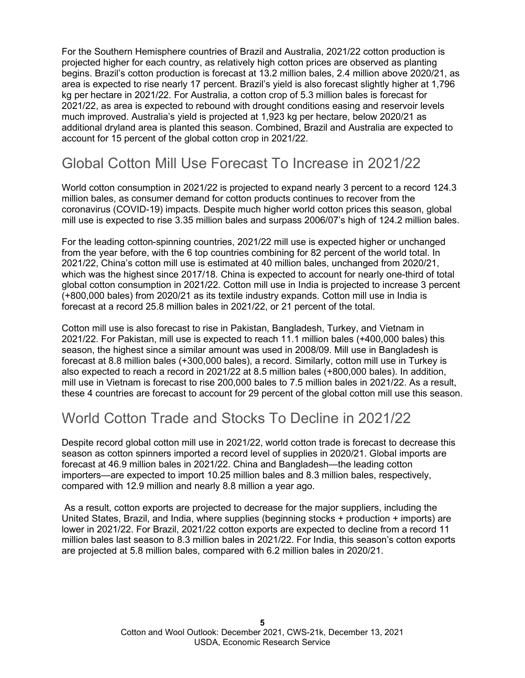For the Southern Hemisphere countries of Brazil and Australia, 2021/22 cotton production is projected higher for each country, as relatively high cotton prices are observed as planting begins. Brazil's cotton production is forecast at 13.2 million bales, 2.4 million above 2020/21, as area is expected to rise nearly 17 percent. Brazil's yield is also forecast slightly higher at 1,796 kg per hectare in 2021/22. For Australia, a cotton crop of 5.3 million bales is forecast for 2021/22, as area is expected to rebound with drought conditions easing and reservoir levels much improved. Australia's yield is projected at 1,923 kg per hectare, below 2020/21 as additional dryland area is planted this season. Combined, Brazil and Australia are expected to account for 15 percent of the global cotton crop in 2021/22.

### Global Cotton Mill Use Forecast To Increase in 2021/22

World cotton consumption in 2021/22 is projected to expand nearly 3 percent to a record 124.3 million bales, as consumer demand for cotton products continues to recover from the coronavirus (COVID-19) impacts. Despite much higher world cotton prices this season, global mill use is expected to rise 3.35 million bales and surpass 2006/07's high of 124.2 million bales.

For the leading cotton-spinning countries, 2021/22 mill use is expected higher or unchanged from the year before, with the 6 top countries combining for 82 percent of the world total. In 2021/22, China's cotton mill use is estimated at 40 million bales, unchanged from 2020/21, which was the highest since 2017/18. China is expected to account for nearly one-third of total global cotton consumption in 2021/22. Cotton mill use in India is projected to increase 3 percent (+800,000 bales) from 2020/21 as its textile industry expands. Cotton mill use in India is forecast at a record 25.8 million bales in 2021/22, or 21 percent of the total.

Cotton mill use is also forecast to rise in Pakistan, Bangladesh, Turkey, and Vietnam in 2021/22. For Pakistan, mill use is expected to reach 11.1 million bales (+400,000 bales) this season, the highest since a similar amount was used in 2008/09. Mill use in Bangladesh is forecast at 8.8 million bales (+300,000 bales), a record. Similarly, cotton mill use in Turkey is also expected to reach a record in 2021/22 at 8.5 million bales (+800,000 bales). In addition, mill use in Vietnam is forecast to rise 200,000 bales to 7.5 million bales in 2021/22. As a result, these 4 countries are forecast to account for 29 percent of the global cotton mill use this season.

### World Cotton Trade and Stocks To Decline in 2021/22

Despite record global cotton mill use in 2021/22, world cotton trade is forecast to decrease this season as cotton spinners imported a record level of supplies in 2020/21. Global imports are forecast at 46.9 million bales in 2021/22. China and Bangladesh—the leading cotton importers—are expected to import 10.25 million bales and 8.3 million bales, respectively, compared with 12.9 million and nearly 8.8 million a year ago.

As a result, cotton exports are projected to decrease for the major suppliers, including the United States, Brazil, and India, where supplies (beginning stocks + production + imports) are lower in 2021/22. For Brazil, 2021/22 cotton exports are expected to decline from a record 11 million bales last season to 8.3 million bales in 2021/22. For India, this season's cotton exports are projected at 5.8 million bales, compared with 6.2 million bales in 2020/21.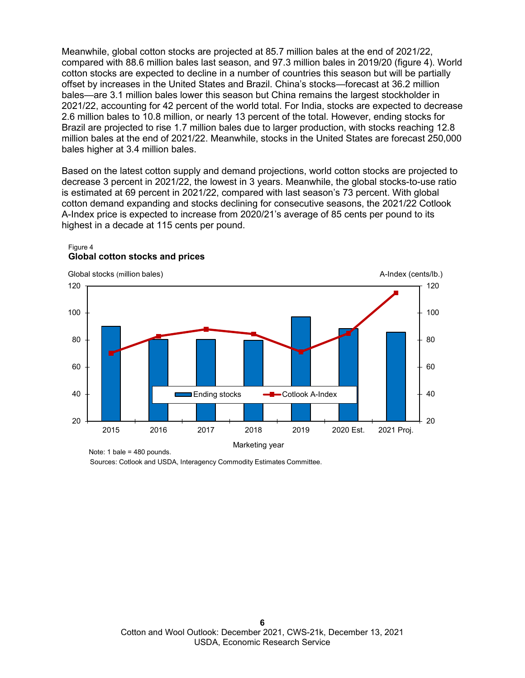Meanwhile, global cotton stocks are projected at 85.7 million bales at the end of 2021/22, compared with 88.6 million bales last season, and 97.3 million bales in 2019/20 (figure 4). World cotton stocks are expected to decline in a number of countries this season but will be partially offset by increases in the United States and Brazil. China's stocks—forecast at 36.2 million bales—are 3.1 million bales lower this season but China remains the largest stockholder in 2021/22, accounting for 42 percent of the world total. For India, stocks are expected to decrease 2.6 million bales to 10.8 million, or nearly 13 percent of the total. However, ending stocks for Brazil are projected to rise 1.7 million bales due to larger production, with stocks reaching 12.8 million bales at the end of 2021/22. Meanwhile, stocks in the United States are forecast 250,000 bales higher at 3.4 million bales.

Based on the latest cotton supply and demand projections, world cotton stocks are projected to decrease 3 percent in 2021/22, the lowest in 3 years. Meanwhile, the global stocks-to-use ratio is estimated at 69 percent in 2021/22, compared with last season's 73 percent. With global cotton demand expanding and stocks declining for consecutive seasons, the 2021/22 Cotlook A-Index price is expected to increase from 2020/21's average of 85 cents per pound to its highest in a decade at 115 cents per pound.



Figure 4 **Global cotton stocks and prices**

Note: 1 bale = 480 pounds.

Sources: Cotlook and USDA, Interagency Commodity Estimates Committee.